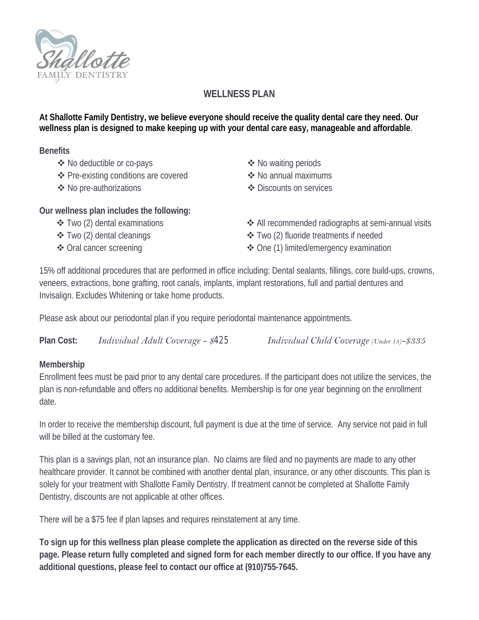

## **WELLNESS PLAN**

**At Shallotte Family Dentistry, we believe everyone should receive the quality dental care they need. Our wellness plan is designed to make keeping up with your dental care easy, manageable and affordable.** 

**Benefits** 

- ◆ No deductible or co-pays **Access Access Access Access Access Access Access Access Access Access Access Access Access Access Access Access**
- ❖ Pre-existing conditions are covered  $\diamond$  No annual maximums
- 

- 
- ❖ No pre-authorizations Services <br />
Services <br />
Services <br />
Services <br />
Services <br />
Services <br />
Services <br />
Services <br />
Services <br />
Services <br />
Services <br />
Services <br />
Servi
- **Our wellness plan includes the following:** 
	- Two (2) dental examinations
	- Two (2) dental cleanings
	- Oral cancer screening
- All recommended radiographs at semi-annual visits
- Two (2) fluoride treatments if needed
- One (1) limited/emergency examination

15% off additional procedures that are performed in office including: Dental sealants, fillings, core build-ups, crowns, veneers, extractions, bone grafting, root canals, implants, implant restorations, full and partial dentures and Invisalign. Excludes Whitening or take home products.

Please ask about our periodontal plan if you require periodontal maintenance appointments.

**Plan Cost:** 

*Individual Adult Coverage - \$425 Individual Child Coverage (Under 13)-\$335*

## **Membership**

Enrollment fees must be paid prior to any dental care procedures. If the participant does not utilize the services, the plan is non-refundable and offers no additional benefits. Membership is for one year beginning on the enrollment date.

In order to receive the membership discount, full payment is due at the time of service. Any service not paid in full will be billed at the customary fee.

This plan is a savings plan, not an insurance plan. No claims are filed and no payments are made to any other healthcare provider. It cannot be combined with another dental plan, insurance, or any other discounts. This plan is solely for your treatment with Shallotte Family Dentistry. If treatment cannot be completed at Shallotte Family Dentistry, discounts are not applicable at other offices.

There will be a \$75 fee if plan lapses and requires reinstatement at any time.

**To sign up for this wellness plan please complete the application as directed on the reverse side of this page. Please return fully completed and signed form for each member directly to our office. If you have any additional questions, please feel to contact our office at (910)755-7645.**